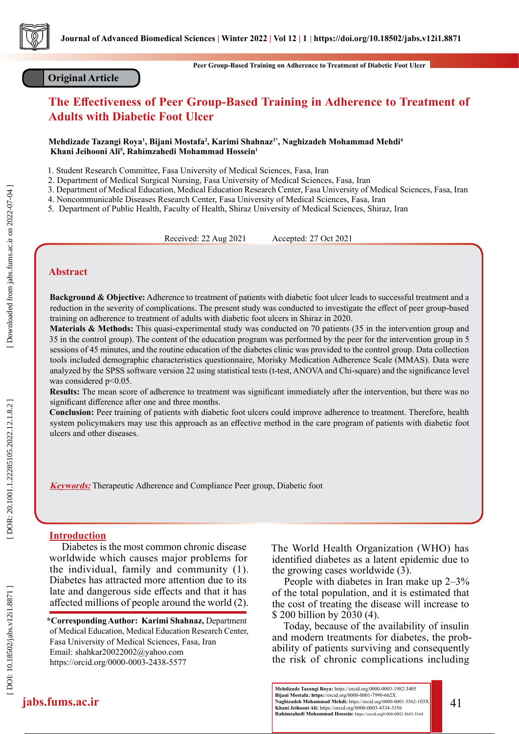

# **Original Article**

**Peer Group-Based Training on Adherence to Treatment of Diabetic Foot Ulcer**

# **The Effectiveness of Peer Group-Based Training in Adherence to Treatment of Adults with Diabetic Foot Ulcer**

Mehdizade Tazangi Roya<sup>ı</sup>, Bijani Mostafa<sup>2</sup>, Karimi Shahnaz<sup>3\*</sup>, Naghizadeh Mohammad Mehdi<sup>4</sup>  **Khani Jeihooni Ali 5 , Rahimzahedi Mohammad Hossein 1**

1. Student Research Committee, Fasa University of Medical Sciences, Fasa, Iran

2. Department of Medical Surgical Nursing, Fasa University of Medical Sciences, Fasa, Iran

3. Department of Medical Education, Medical Education Research Center, Fasa University of Medical Sciences, Fasa, Iran

4. Noncommunicable Diseases Research Center, Fasa University of Medical Sciences, Fasa, Iran

5. Department of Public Health, Faculty of Health, Shiraz University of Medical Sciences, Shiraz, Iran

Received: 22 Aug 2021 Accepted: 27 Oct 2021

# **Abstract**

**Background & Objective:** Adherence to treatment of patients with diabetic foot ulcer leads to successful treatment and a reduction in the severity of complications. The present study was conducted to investigate the effect of peer group-based training on adherence to treatment of adults with diabetic foot ulcers in Shiraz in 2020.

**Materials & Methods:** This quasi-experimental study was conducted on 70 patients (35 in the intervention group and 35 in the control group). The content of the education program was performed by the peer for the intervention group in 5 sessions of 45 minutes, and the routine education of the diabetes clinic was provided to the control group. Data collection tools included demographic characteristics questionnaire, Morisky Medication Adherence Scale (MMAS). Data were analyzed by the SPSS software version 22 using statistical tests (t-test, ANOVA and Chi-square) and the significance level was considered p<0.05.

**Results:** The mean score of adherence to treatment was significant immediately after the intervention, but there was no significant difference after one and three months.

**Conclusion:** Peer training of patients with diabetic foot ulcers could improve adherence to treatment. Therefore, health system policymakers may use this approach as an effective method in the care program of patients with diabetic foot ulcers and other diseases.

**Keywords:** Therapeutic Adherence and Compliance Peer group, Diabetic foot

# **Introduction**

Diabetes is the most common chronic disease worldwide which causes major problems for the individual, family and community (1). Diabetes has attracted more attention due to its late and dangerous side effects and that it has affected millions of people around the world (2).

**\*Corresponding Author: Karimi Shahnaz,** Department of Medical Education, Medical Education Research Center, Fasa University of Medical Sciences, Fasa, Iran Email: shahkar20022002@yahoo.com https://orcid.org/0000-0003-2438-5577

The World Health Organization (WHO) has identified diabetes as a latent epidemic due to the growing cases worldwide (3).

People with diabetes in Iran make up 2–3% of the total population, and it is estimated that the cost of treating the disease will increase to \$ 200 billion by 2030 (4).

Today, because of the availability of insulin and modern treatments for diabetes, the prob ability of patients surviving and consequently the risk of chronic complications including

 $\left|\text{abs.fums.ac.in}\right|\quad \text{Naghizadeh Mohammad Mehdi: https://orcid.org/0000-0001-5562-103X}\atop \text{Khani Jeihooni Ali: https://orcid.org/0000-0003-4334-3356}\hspace{2em}\text{A1}$ **Mehdizade Tazangi Roya:** https://orcid.org/0000-0003-1982-3405 **Bijani Mostafa: https:**//orcid.org/0000-0001-7990-662X

Downloaded from jabs.fums.ac.ir on 2022-07-04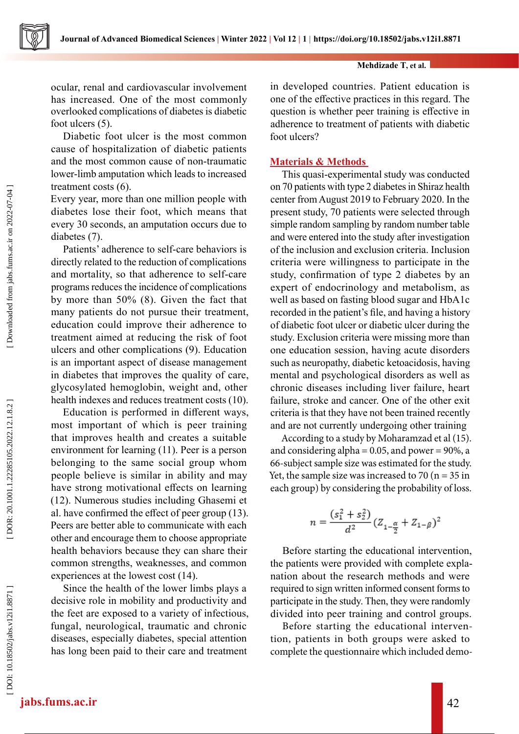

### **Mehdizade T, et al.**

ocular, renal and cardiovascular involvement has increased. One of the most commonly overlooked complications of diabetes is diabetic foot ulcers (5).

Diabetic foot ulcer is the most common cause of hospitalization of diabetic patients and the most common cause of non-traumatic lower-limb amputation which leads to increased treatment costs (6).

Every year, more than one million people with diabetes lose their foot, which means that every 30 seconds, an amputation occurs due to diabetes (7).

Patients' adherence to self-care behaviors is directly related to the reduction of complications and mortality, so that adherence to self-care programs reduces the incidence of complications by more than 50% (8). Given the fact that many patients do not pursue their treatment, education could improve their adherence to treatment aimed at reducing the risk of foot ulcers and other complications (9). Education is an important aspect of disease management in diabetes that improves the quality of care, glycosylated hemoglobin, weight and, other health indexes and reduces treatment costs (10).

Education is performed in different ways, most important of which is peer training that improves health and creates a suitable environment for learning (11). Peer is a person belonging to the same social group whom people believe is similar in ability and may have strong motivational effects on learning (12). Numerous studies including Ghasemi et al. have confirmed the effect of peer group (13). Peers are better able to communicate with each other and encourage them to choose appropriate health behaviors because they can share their common strengths, weaknesses, and common experiences at the lowest cost (14).

Since the health of the lower limbs plays a decisive role in mobility and productivity and the feet are exposed to a variety of infectious, fungal, neurological, traumatic and chronic diseases, especially diabetes, special attention has long been paid to their care and treatment

in developed countries. Patient education is one of the effective practices in this regard. The question is whether peer training is effective in adherence to treatment of patients with diabetic foot ulcers?

# **Materials & Methods**

This quasi-experimental study was conducted on 70 patients with type 2 diabetes in Shiraz health center from August 2019 to February 2020. In the present study, 70 patients were selected through simple random sampling by random number table and were entered into the study after investigation of the inclusion and exclusion criteria. Inclusion criteria were willingness to participate in the study, confirmation of type 2 diabetes by an expert of endocrinology and metabolism, as well as based on fasting blood sugar and HbA1c recorded in the patient's file, and having a history of diabetic foot ulcer or diabetic ulcer during the study. Exclusion criteria were missing more than one education session, having acute disorders such as neuropathy, diabetic ketoacidosis, having mental and psychological disorders as well as chronic diseases including liver failure, heart failure, stroke and cancer. One of the other exit criteria is that they have not been trained recently and are not currently undergoing other training

According to a study by Moharamzad et al (15). and considering alpha =  $0.05$ , and power =  $90\%$ , a 66-subject sample size was estimated for the study. Yet, the sample size was increased to  $70$  (n =  $35$  in each group) by considering the probability of loss.

$$
n = \frac{(s_1^2 + s_2^2)}{d^2} (Z_{1-\frac{\alpha}{2}} + Z_{1-\beta})^2
$$

Before starting the educational intervention, the patients were provided with complete expla nation about the research methods and were required to sign written informed consent forms to participate in the study. Then, they were randomly divided into peer training and control groups.

Before starting the educational interven tion, patients in both groups were asked to complete the questionnaire which included demo-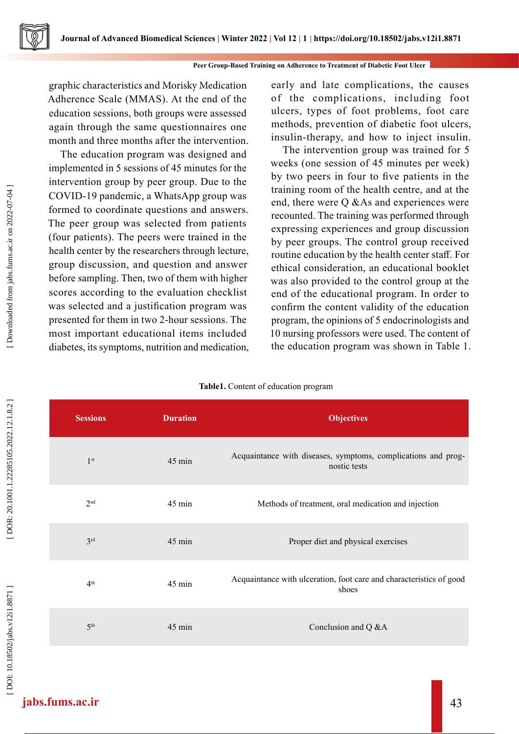graphic characteristics and Morisky Medication Adherence Scale (MMAS). At the end of the education sessions, both groups were assessed again through the same questionnaires one month and three months after the intervention.

The education program was designed and implemented in 5 sessions of 45 minutes for the intervention group by peer group. Due to the COVID-19 pandemic, a WhatsApp group was formed to coordinate questions and answers. The peer group was selected from patients (four patients). The peers were trained in the health center by the researchers through lecture, group discussion, and question and answer before sampling. Then, two of them with higher scores according to the evaluation checklist was selected and a justification program was presented for them in two 2-hour sessions. The most important educational items included diabetes, its symptoms, nutrition and medication, early and late complications, the causes of the complications, including foot ulcers, types of foot problems, foot care methods, prevention of diabetic foot ulcers, insulin-therapy, and how to inject insulin.

The intervention group was trained for 5 weeks (one session of 45 minutes per week) by two peers in four to five patients in the training room of the health centre, and at the end, there were Q &As and experiences were recounted. The training was performed through expressing experiences and group discussion by peer groups. The control group received routine education by the health center staff. For ethical consideration, an educational booklet was also provided to the control group at the end of the educational program. In order to confirm the content validity of the education program, the opinions of 5 endocrinologists and 10 nursing professors were used. The content of the education program was shown in Table 1.

| <b>Sessions</b> | <b>Duration</b>  | <b>Objectives</b>                                                             |
|-----------------|------------------|-------------------------------------------------------------------------------|
| 1 <sup>st</sup> | $45 \text{ min}$ | Acquaintance with diseases, symptoms, complications and prog-<br>nostic tests |
| 2 <sup>nd</sup> | 45 min           | Methods of treatment, oral medication and injection                           |
| 3 <sup>rd</sup> | $45 \text{ min}$ | Proper diet and physical exercises                                            |
| 4 <sup>th</sup> | 45 min           | Acquaintance with ulceration, foot care and characteristics of good<br>shoes  |
| 5 <sup>th</sup> | $45 \text{ min}$ | Conclusion and Q &A                                                           |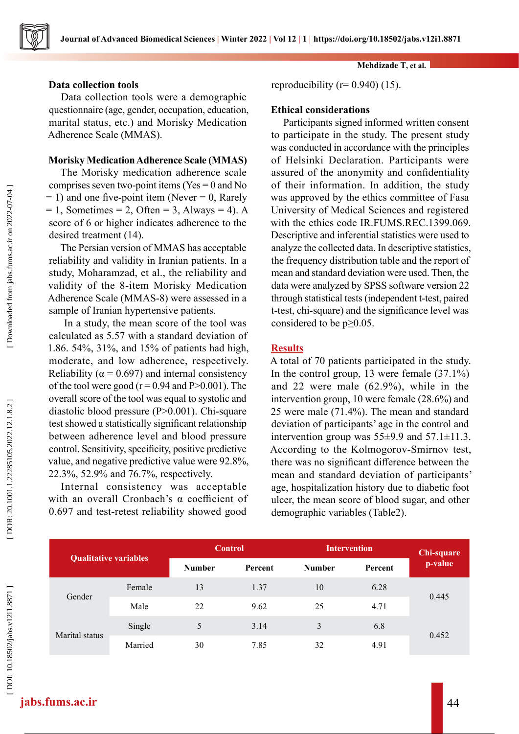

# **Data collection tools**

Data collection tools were a demographic questionnaire (age, gender, occupation, education, marital status, etc.) and Morisky Medication Adherence Scale (MMAS).

# **Morisky Medication Adherence Scale (MMAS)**

The Morisky medication adherence scale comprises seven two-point items ( $Yes = 0$  and No  $= 1$ ) and one five-point item (Never  $= 0$ , Rarely  $= 1$ , Sometimes  $= 2$ , Often  $= 3$ , Always  $= 4$ ). A score of 6 or higher indicates adherence to the desired treatment (14).

The Persian version of MMAS has acceptable reliability and validity in Iranian patients. In a study, Moharamzad, et al., the reliability and validity of the 8-item Morisky Medication Adherence Scale (MMAS-8) were assessed in a sample of Iranian hypertensive patients.

 In a study, the mean score of the tool was calculated as 5.57 with a standard deviation of 1.86. 54%, 31%, and 15% of patients had high, moderate, and low adherence, respectively. Reliability ( $\alpha$  = 0.697) and internal consistency of the tool were good ( $r = 0.94$  and P $> 0.001$ ). The overall score of the tool was equal to systolic and diastolic blood pressure (P˃0.001). Chi-square test showed a statistically significant relationship between adherence level and blood pressure control. Sensitivity, specificity, positive predictive value, and negative predictive value were 92.8%, 22.3%, 52.9% and 76.7%, respectively.

Internal consistency was acceptable with an overall Cronbach's  $\alpha$  coefficient of 0.697 and test-retest reliability showed good **Mehdizade T, et al.**

reproducibility ( $r= 0.940$ ) (15).

# **Ethical considerations**

Participants signed informed written consent to participate in the study. The present study was conducted in accordance with the principles of Helsinki Declaration. Participants were assured of the anonymity and confidentiality of their information. In addition, the study was approved by the ethics committee of Fasa University of Medical Sciences and registered with the ethics code IR.FUMS.REC.1399.069. Descriptive and inferential statistics were used to analyze the collected data. In descriptive statistics, the frequency distribution table and the report of mean and standard deviation were used. Then, the data were analyzed by SPSS software version 22 through statistical tests (independent t-test, paired t-test, chi-square) and the significance level was considered to be  $p \geq 0.05$ .

# **Results**

A total of 70 patients participated in the study. In the control group, 13 were female (37.1%) and 22 were male (62.9%), while in the intervention group, 10 were female (28.6%) and 25 were male (71.4%). The mean and standard deviation of participants' age in the control and intervention group was  $55±9.9$  and  $57.1±11.3$ . According to the Kolmogorov-Smirnov test, there was no significant difference between the mean and standard deviation of participants' age, hospitalization history due to diabetic foot ulcer, the mean score of blood sugar, and other demographic variables (Table2).

| <b>Qualitative variables</b> |         | <b>Control</b> |         | <b>Intervention</b> | Chi-square |         |
|------------------------------|---------|----------------|---------|---------------------|------------|---------|
|                              |         | <b>Number</b>  | Percent | <b>Number</b>       | Percent    | p-value |
| Gender                       | Female  | 13             | 1.37    | 10                  | 6.28       |         |
|                              | Male    | 22             | 9.62    | 25                  | 4.71       | 0.445   |
| Marital status               | Single  | 5              | 3.14    | 3                   | 6.8        |         |
|                              | Married | 30             | 7.85    | 32                  | 4.91       | 0.452   |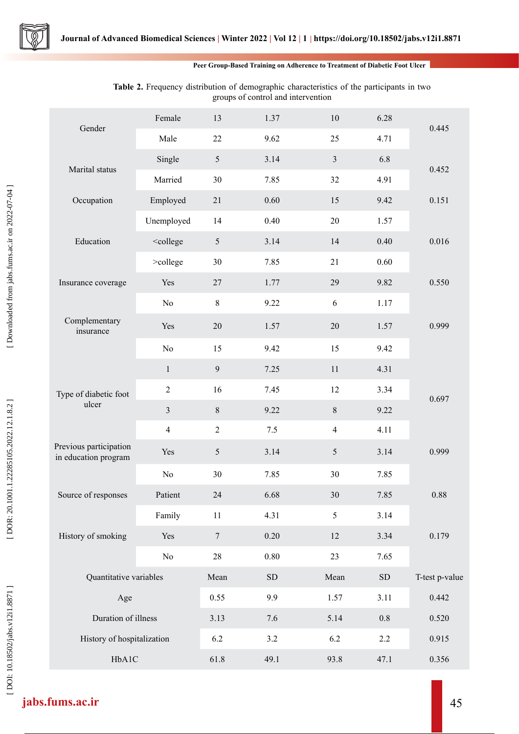

### **Peer Group-Based Training on Adherence to Treatment of Diabetic Foot Ulcer**

| Gender                                         | Female                                                                                   | 13               | 1.37       | $10\,$         | 6.28       | 0.445          |
|------------------------------------------------|------------------------------------------------------------------------------------------|------------------|------------|----------------|------------|----------------|
|                                                | Male                                                                                     | 22               | 9.62       | 25             | 4.71       |                |
| Marital status                                 | Single                                                                                   | $\mathfrak{S}$   | 3.14       | $\overline{3}$ | 6.8        | 0.452          |
|                                                | Married                                                                                  | 30               | 7.85       | 32             | 4.91       |                |
| Occupation                                     | Employed                                                                                 | 21               | 0.60       | 15             | 9.42       | 0.151          |
|                                                | Unemployed                                                                               | 14               | 0.40       | 20             | 1.57       |                |
| Education                                      | <college< td=""><td>5</td><td>3.14</td><td>14</td><td>0.40</td><td>0.016</td></college<> | 5                | 3.14       | 14             | 0.40       | 0.016          |
|                                                | >college                                                                                 | 30               | 7.85       | 21             | 0.60       |                |
| Insurance coverage                             | Yes                                                                                      | 27               | 1.77       | 29             | 9.82       | 0.550          |
|                                                | No                                                                                       | $\,8\,$          | 9.22       | 6              | 1.17       |                |
| Complementary<br>insurance                     | Yes                                                                                      | 20               | 1.57       | $20\,$         | 1.57       | 0.999          |
|                                                | No                                                                                       | 15               | 9.42       | 15             | 9.42       |                |
|                                                | $\mathbf{1}$                                                                             | $\mathbf{9}$     | 7.25       | 11             | 4.31       |                |
| Type of diabetic foot                          | $\sqrt{2}$                                                                               | 16               | 7.45       | 12             | 3.34       | 0.697          |
| ulcer                                          | $\overline{3}$                                                                           | $8\,$            | 9.22       | 8              | 9.22       |                |
|                                                | $\overline{4}$                                                                           | $\boldsymbol{2}$ | 7.5        | $\overline{4}$ | 4.11       |                |
| Previous participation<br>in education program | Yes                                                                                      | $\mathfrak{S}$   | 3.14       | 5              | 3.14       | 0.999          |
|                                                | No                                                                                       | 30               | 7.85       | 30             | 7.85       |                |
| Source of responses                            | Patient                                                                                  | 24               | 6.68       | $30\,$         | 7.85       | $0.88\,$       |
|                                                | Family                                                                                   | $11\,$           | 4.31       | 5              | 3.14       |                |
| History of smoking                             | Yes                                                                                      | $\tau$           | 0.20       | 12             | 3.34       | 0.179          |
|                                                | $\rm No$                                                                                 | 28               | 0.80       | 23             | 7.65       |                |
| Quantitative variables                         |                                                                                          | Mean             | ${\rm SD}$ | Mean           | ${\rm SD}$ | T-test p-value |
| Age                                            |                                                                                          | 0.55             | 9.9        | 1.57           | 3.11       | 0.442          |
| Duration of illness                            |                                                                                          | 3.13             | 7.6        | 5.14           | $0.8\,$    | 0.520          |
| History of hospitalization                     |                                                                                          | 6.2              | 3.2        | 6.2            | 2.2        | 0.915          |
| HbA1C                                          |                                                                                          | 61.8             | 49.1       | 93.8           | 47.1       | 0.356          |

# Table 2. Frequency distribution of demographic characteristics of the participants in two groups of control and intervention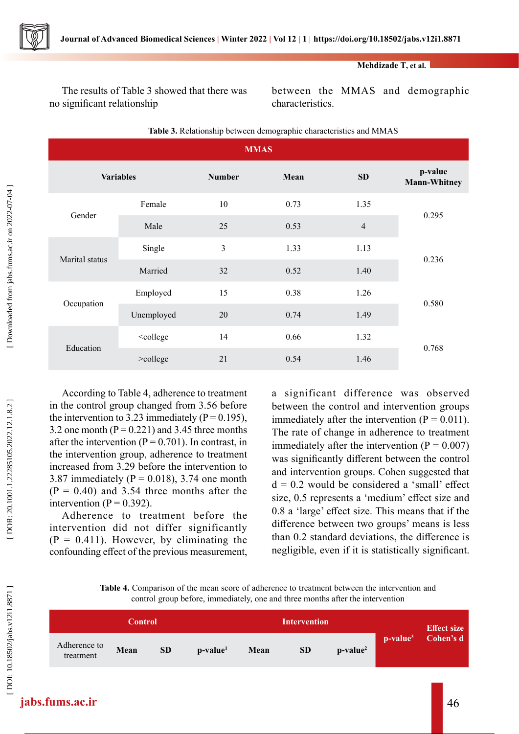

**Mehdizade T, et al.**

The results of Table 3 showed that there was no significant relationship

between the MMAS and demographic characteristics.

| л.<br>$\sim$ 1<br><b>MMAS</b> |                                                                                |                |      |                |                                |  |  |  |
|-------------------------------|--------------------------------------------------------------------------------|----------------|------|----------------|--------------------------------|--|--|--|
| <b>Variables</b>              |                                                                                | <b>Number</b>  | Mean |                | p-value<br><b>Mann-Whitney</b> |  |  |  |
| Gender                        | Female                                                                         | 10             | 0.73 | 1.35           | 0.295                          |  |  |  |
|                               | Male                                                                           | 25             | 0.53 | $\overline{4}$ |                                |  |  |  |
| Marital status                | Single                                                                         | $\mathfrak{Z}$ | 1.33 | 1.13           | 0.236                          |  |  |  |
|                               | Married                                                                        | 32             | 0.52 | 1.40           |                                |  |  |  |
| Occupation                    | Employed                                                                       | 15             | 0.38 | 1.26           | 0.580                          |  |  |  |
|                               | Unemployed                                                                     | 20             | 0.74 | 1.49           |                                |  |  |  |
| Education                     | <college< td=""><td>14</td><td>0.66</td><td>1.32</td><td>0.768</td></college<> | 14             | 0.66 | 1.32           | 0.768                          |  |  |  |
|                               | >college                                                                       | 21             | 0.54 | 1.46           |                                |  |  |  |

**Table 3.** Relationship between demographic characteristics and MMAS

According to Table 4, adherence to treatment in the control group changed from 3.56 before the intervention to 3.23 immediately ( $P = 0.195$ ), 3.2 one month ( $P = 0.221$ ) and 3.45 three months after the intervention ( $P = 0.701$ ). In contrast, in the intervention group, adherence to treatment increased from 3.29 before the intervention to 3.87 immediately ( $P = 0.018$ ), 3.74 one month  $(P = 0.40)$  and 3.54 three months after the intervention ( $P = 0.392$ ).

Adherence to treatment before the intervention did not differ significantly  $(P = 0.411)$ . However, by eliminating the confounding effect of the previous measurement, a significant difference was observed between the control and intervention groups immediately after the intervention  $(P = 0.011)$ . The rate of change in adherence to treatment immediately after the intervention  $(P = 0.007)$ was significantly different between the control and intervention groups. Cohen suggested that  $d = 0.2$  would be considered a 'small' effect size, 0.5 represents a 'medium' effect size and 0.8 a 'large' effect size. This means that if the difference between two groups' means is less than 0.2 standard deviations, the difference is negligible, even if it is statistically significant.

| <b>Table 4.</b> Comparison of the mean score of adherence to treatment between the intervention and |
|-----------------------------------------------------------------------------------------------------|
| control group before, immediately, one and three months after the intervention                      |

| <b>Control</b>            |      |           |            |      | <b>Intervention</b> |            |  | <b>Effect size</b>             |
|---------------------------|------|-----------|------------|------|---------------------|------------|--|--------------------------------|
| Adherence to<br>treatment | Mean | <b>SD</b> | $p-value1$ | Mean | <b>SD</b>           | $p-value2$ |  | p-value <sup>3</sup> Cohen's d |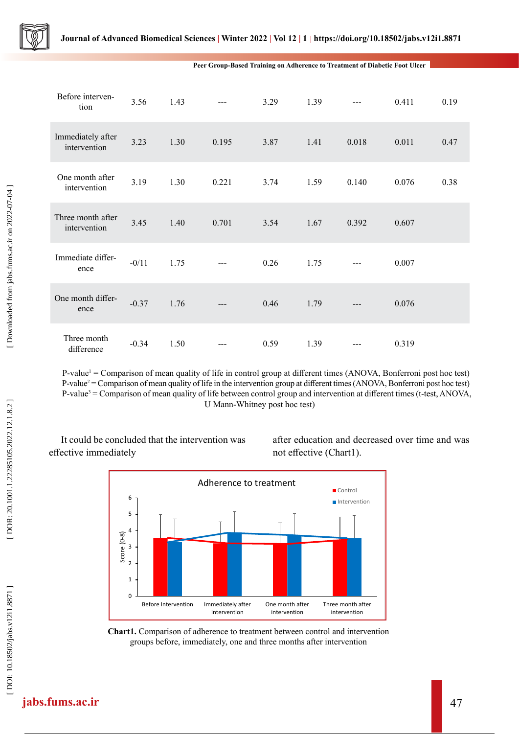

**Peer Group-Based Training on Adherence to Treatment of Diabetic Foot Ulcer**

| Before interven-<br>tion          | 3.56    | 1.43 | $---$ | 3.29 | 1.39 | $---$ | 0.411 | 0.19 |
|-----------------------------------|---------|------|-------|------|------|-------|-------|------|
| Immediately after<br>intervention | 3.23    | 1.30 | 0.195 | 3.87 | 1.41 | 0.018 | 0.011 | 0.47 |
| One month after<br>intervention   | 3.19    | 1.30 | 0.221 | 3.74 | 1.59 | 0.140 | 0.076 | 0.38 |
| Three month after<br>intervention | 3.45    | 1.40 | 0.701 | 3.54 | 1.67 | 0.392 | 0.607 |      |
| Immediate differ-<br>ence         | $-0/11$ | 1.75 | $---$ | 0.26 | 1.75 |       | 0.007 |      |
| One month differ-<br>ence         | $-0.37$ | 1.76 | ---   | 0.46 | 1.79 | ---   | 0.076 |      |
| Three month<br>difference         | $-0.34$ | 1.50 |       | 0.59 | 1.39 |       | 0.319 |      |

P-value<sup>1</sup> = Comparison of mean quality of life in control group at different times (ANOVA, Bonferroni post hoc test) P-value<sup>2</sup> = Comparison of mean quality of life in the intervention group at different times (ANOVA, Bonferroni post hoc test) P-value 3 = Comparison of mean quality of life between control group and intervention at different times (t-test, ANOVA, U Mann-Whitney post hoc test)

It could be concluded that the intervention was effective immediately

after education and decreased over time and was not effective (Chart1).



**Chart1.** Comparison of adherence to treatment between control and intervention groups before, immediately, one and three months after intervention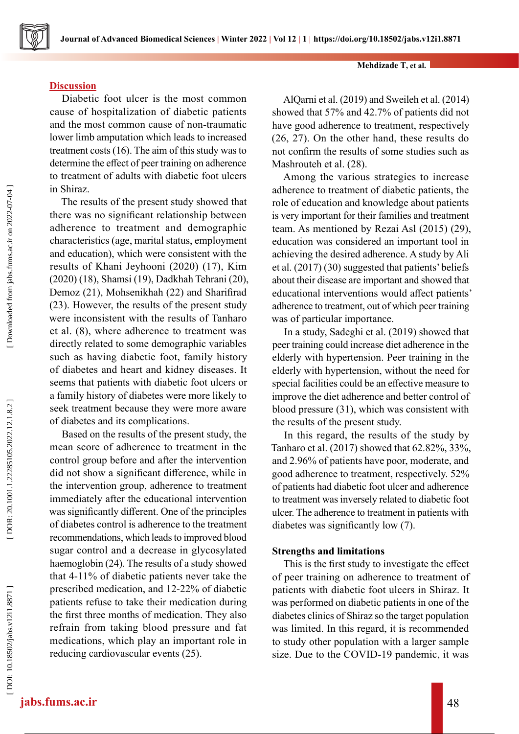# **Discussion**

Diabetic foot ulcer is the most common cause of hospitalization of diabetic patients and the most common cause of non-traumatic lower limb amputation which leads to increased treatment costs (16). The aim of this study was to determine the effect of peer training on adherence to treatment of adults with diabetic foot ulcers in Shiraz.

The results of the present study showed that there was no significant relationship between adherence to treatment and demographic characteristics (age, marital status, employment and education), which were consistent with the results of Khani Jeyhooni (2020) (17), Kim (2020) (18), Shamsi (19), Dadkhah Tehrani (20), Demoz (21), Mohsenikhah (22) and Sharifirad (23). However, the results of the present study were inconsistent with the results of Tanharo et al. (8), where adherence to treatment was directly related to some demographic variables such as having diabetic foot, family history of diabetes and heart and kidney diseases. It seems that patients with diabetic foot ulcers or a family history of diabetes were more likely to seek treatment because they were more aware of diabetes and its complications.

Based on the results of the present study, the mean score of adherence to treatment in the control group before and after the intervention did not show a significant difference, while in the intervention group, adherence to treatment immediately after the educational intervention was significantly different. One of the principles of diabetes control is adherence to the treatment recommendations, which leads to improved blood sugar control and a decrease in glycosylated haemoglobin (24). The results of a study showed that 4-11% of diabetic patients never take the prescribed medication, and 12-22% of diabetic patients refuse to take their medication during the first three months of medication. They also refrain from taking blood pressure and fat medications, which play an important role in reducing cardiovascular events (25).

# **Mehdizade T, et al.**

AlQarni et al. (2019) and Sweileh et al. (2014) showed that 57% and 42.7% of patients did not have good adherence to treatment, respectively (26, 27). On the other hand, these results do not confirm the results of some studies such as Mashrouteh et al. (28).

Among the various strategies to increase adherence to treatment of diabetic patients, the role of education and knowledge about patients is very important for their families and treatment team. As mentioned by Rezai Asl (2015) (29), education was considered an important tool in achieving the desired adherence. A study by Ali et al. (2017) (30) suggested that patients' beliefs about their disease are important and showed that educational interventions would affect patients' adherence to treatment, out of which peer training was of particular importance.

In a study, Sadeghi et al. (2019) showed that peer training could increase diet adherence in the elderly with hypertension. Peer training in the elderly with hypertension, without the need for special facilities could be an effective measure to improve the diet adherence and better control of blood pressure (31), which was consistent with the results of the present study.

In this regard, the results of the study by Tanharo et al. (2017) showed that 62.82%, 33%, and 2.96% of patients have poor, moderate, and good adherence to treatment, respectively. 52% of patients had diabetic foot ulcer and adherence to treatment was inversely related to diabetic foot ulcer. The adherence to treatment in patients with diabetes was significantly low (7).

# **Strengths and limitations**

This is the first study to investigate the effect of peer training on adherence to treatment of patients with diabetic foot ulcers in Shiraz. It was performed on diabetic patients in one of the diabetes clinics of Shiraz so the target population was limited. In this regard, it is recommended to study other population with a larger sample size. Due to the COVID-19 pandemic, it was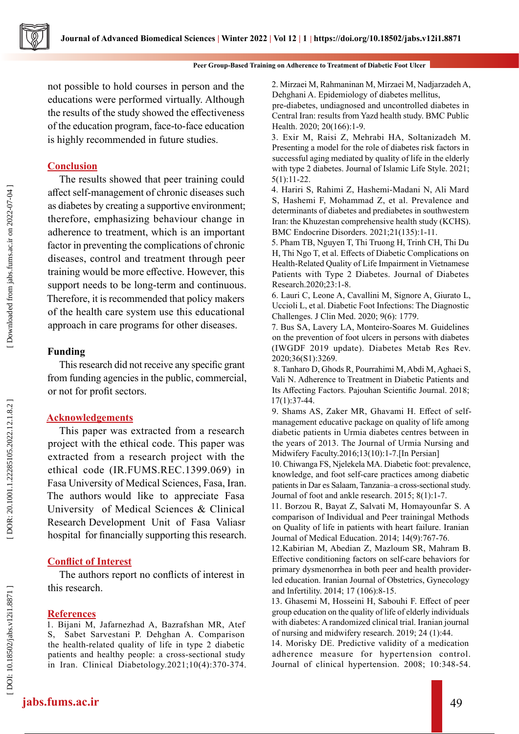

not possible to hold courses in person and the educations were performed virtually. Although the results of the study showed the effectiveness of the education program, face-to-face education is highly recommended in future studies.

# **Conclusion**

The results showed that peer training could affect self-management of chronic diseases such as diabetes by creating a supportive environment; therefore, emphasizing behaviour change in adherence to treatment, which is an important factor in preventing the complications of chronic diseases, control and treatment through peer training would be more effective. However, this support needs to be long-term and continuous. Therefore, it is recommended that policy makers of the health care system use this educational approach in care programs for other diseases.

# **Funding**

This research did not receive any specific grant from funding agencies in the public, commercial, or not for profit sectors.

# **Acknowledgements**

This paper was extracted from a research project with the ethical code. This paper was extracted from a research project with the ethical code (IR.FUMS.REC.1399.069) in Fasa University of Medical Sciences, Fasa, Iran. The authors would like to appreciate Fasa University of Medical Sciences & Clinical Research Development Unit of Fasa Valiasr hospital for financially supporting this research.

# **Conflict of Interest**

The authors report no conflicts of interest in this research.

### **References**

1. Bijani M, Jafarnezhad A, Bazrafshan MR, Atef S, Sabet Sarvestani P. Dehghan A. Comparison the health-related quality of life in type 2 diabetic patients and healthy people: a cross-sectional study in Iran. Clinical Diabetology.2021;10(4):370-374. 2. Mirzaei M, Rahmaninan M, Mirzaei M, Nadjarzadeh A, Dehghani A. Epidemiology of diabetes mellitus,

pre-diabetes, undiagnosed and uncontrolled diabetes in Central Iran: results from Yazd health study. BMC Public Health. 2020; 20(166):1-9.

3. Exir M, Raisi Z, Mehrabi HA, Soltanizadeh M. Presenting a model for the role of diabetes risk factors in successful aging mediated by quality of life in the elderly with type 2 diabetes. Journal of Islamic Life Style. 2021; 5(1):11-22.

4. Hariri S, Rahimi Z, Hashemi-Madani N, Ali Mard S, Hashemi F, Mohammad Z, et al. Prevalence and determinants of diabetes and prediabetes in southwestern Iran: the Khuzestan comprehensive health study (KCHS). BMC Endocrine Disorders. 2021;21(135):1-11.

5. Pham TB, Nguyen T, Thi Truong H, Trinh CH, Thi Du H, Thi Ngo T, et al. Effects of Diabetic Complications on Health-Related Quality of Life Impairment in Vietnamese Patients with Type 2 Diabetes. Journal of Diabetes Research.2020;23:1-8.

6. Lauri C, Leone A, Cavallini M, Signore A, Giurato L, Uccioli L, et al. Diabetic Foot Infections: The Diagnostic Challenges. J Clin Med. 2020; 9(6): 1779.

7. Bus SA, Lavery LA, Monteiro-Soares M. Guidelines on the prevention of foot ulcers in persons with diabetes (IWGDF 2019 update). Diabetes Metab Res Rev. 2020;36(S1):3269.

 8. Tanharo D, Ghods R, Pourrahimi M, Abdi M, Aghaei S, Vali N. Adherence to Treatment in Diabetic Patients and Its Affecting Factors. Pajouhan Scientific Journal. 2018; 17(1):37-44.

9. Shams AS, Zaker MR, Ghavami H. Effect of selfmanagement educative package on quality of life among diabetic patients in Urmia diabetes centres between in the years of 2013. The Journal of Urmia Nursing and Midwifery Faculty.2016;13(10):1-7.[In Persian]

10. Chiwanga FS, Njelekela MA. Diabetic foot: prevalence, knowledge, and foot self-care practices among diabetic patients in Dar es Salaam, Tanzania–a cross-sectional study. Journal of foot and ankle research. 2015; 8(1):1-7.

11. Borzou R, Bayat Z, Salvati M, Homayounfar S. A comparison of Individual and Peer trainingal Methods on Quality of life in patients with heart failure. Iranian Journal of Medical Education. 2014; 14(9):767-76.

12.Kabirian M, Abedian Z, Mazloum SR, Mahram B. Effective conditioning factors on self-care behaviors for primary dysmenorrhea in both peer and health providerled education. Iranian Journal of Obstetrics, Gynecology and Infertility. 2014; 17 (106):8-15.

13. Ghasemi M, Hosseini H, Sabouhi F. Effect of peer group education on the quality of life of elderly individuals with diabetes: A randomized clinical trial. Iranian journal of nursing and midwifery research. 2019; 24 (1):44.

14. Morisky DE. Predictive validity of a medication adherence measure for hypertension control. Journal of clinical hypertension. 2008; 10:348-54.